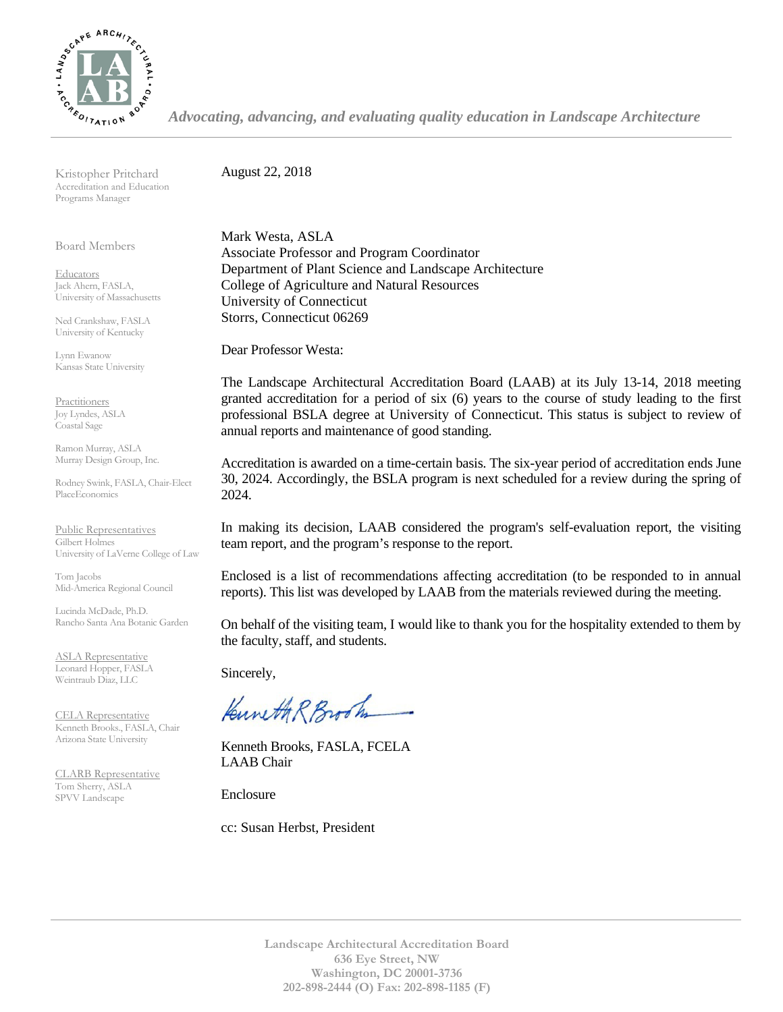

*Advocating, advancing, and evaluating quality education in Landscape Architecture*

Kristopher Pritchard Accreditation and Education Programs Manager

Board Members

**Educators** Jack Ahern, FASLA, University of Massachusetts

Ned Crankshaw, FASLA University of Kentucky

Lynn Ewanow Kansas State University

**Practitioners** Joy Lyndes, ASLA Coastal Sage

Ramon Murray, ASLA Murray Design Group, Inc.

Rodney Swink, FASLA, Chair-Elect PlaceEconomics

Public Representatives Gilbert Holmes University of LaVerne College of Law

Tom Jacobs Mid-America Regional Council

Lucinda McDade, Ph.D. Rancho Santa Ana Botanic Garden

ASLA Representative Leonard Hopper, FASLA Weintraub Diaz, LLC

CELA Representative Kenneth Brooks., FASLA, Chair Arizona State University

CLARB Representative Tom Sherry, ASLA SPVV Landscape

August 22, 2018

Mark Westa, ASLA Associate Professor and Program Coordinator Department of Plant Science and Landscape Architecture College of Agriculture and Natural Resources University of Connecticut Storrs, Connecticut 06269

Dear Professor Westa:

The Landscape Architectural Accreditation Board (LAAB) at its July 13-14, 2018 meeting granted accreditation for a period of six (6) years to the course of study leading to the first professional BSLA degree at University of Connecticut. This status is subject to review of annual reports and maintenance of good standing.

Accreditation is awarded on a time-certain basis. The six-year period of accreditation ends June 30, 2024. Accordingly, the BSLA program is next scheduled for a review during the spring of 2024.

In making its decision, LAAB considered the program's self-evaluation report, the visiting team report, and the program's response to the report.

Enclosed is a list of recommendations affecting accreditation (to be responded to in annual reports). This list was developed by LAAB from the materials reviewed during the meeting.

On behalf of the visiting team, I would like to thank you for the hospitality extended to them by the faculty, staff, and students.

Sincerely,

Kuneth R Brook

Kenneth Brooks, FASLA, FCELA LAAB Chair

Enclosure

cc: Susan Herbst, President